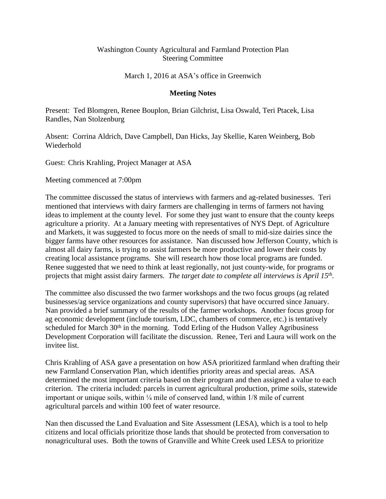## Washington County Agricultural and Farmland Protection Plan Steering Committee

March 1, 2016 at ASA's office in Greenwich

## **Meeting Notes**

Present: Ted Blomgren, Renee Bouplon, Brian Gilchrist, Lisa Oswald, Teri Ptacek, Lisa Randles, Nan Stolzenburg

Absent: Corrina Aldrich, Dave Campbell, Dan Hicks, Jay Skellie, Karen Weinberg, Bob Wiederhold

Guest: Chris Krahling, Project Manager at ASA

Meeting commenced at 7:00pm

The committee discussed the status of interviews with farmers and ag-related businesses. Teri mentioned that interviews with dairy farmers are challenging in terms of farmers not having ideas to implement at the county level. For some they just want to ensure that the county keeps agriculture a priority. At a January meeting with representatives of NYS Dept. of Agriculture and Markets, it was suggested to focus more on the needs of small to mid-size dairies since the bigger farms have other resources for assistance. Nan discussed how Jefferson County, which is almost all dairy farms, is trying to assist farmers be more productive and lower their costs by creating local assistance programs. She will research how those local programs are funded. Renee suggested that we need to think at least regionally, not just county-wide, for programs or projects that might assist dairy farmers. *The target date to complete all interviews is April 15th .*

The committee also discussed the two farmer workshops and the two focus groups (ag related businesses/ag service organizations and county supervisors) that have occurred since January. Nan provided a brief summary of the results of the farmer workshops. Another focus group for ag economic development (include tourism, LDC, chambers of commerce, etc.) is tentatively scheduled for March 30<sup>th</sup> in the morning. Todd Erling of the Hudson Valley Agribusiness Development Corporation will facilitate the discussion. Renee, Teri and Laura will work on the invitee list.

Chris Krahling of ASA gave a presentation on how ASA prioritized farmland when drafting their new Farmland Conservation Plan, which identifies priority areas and special areas. ASA determined the most important criteria based on their program and then assigned a value to each criterion. The criteria included: parcels in current agricultural production, prime soils, statewide important or unique soils, within  $\frac{1}{4}$  mile of conserved land, within 1/8 mile of current agricultural parcels and within 100 feet of water resource.

Nan then discussed the Land Evaluation and Site Assessment (LESA), which is a tool to help citizens and local officials prioritize those lands that should be protected from conversation to nonagricultural uses. Both the towns of Granville and White Creek used LESA to prioritize